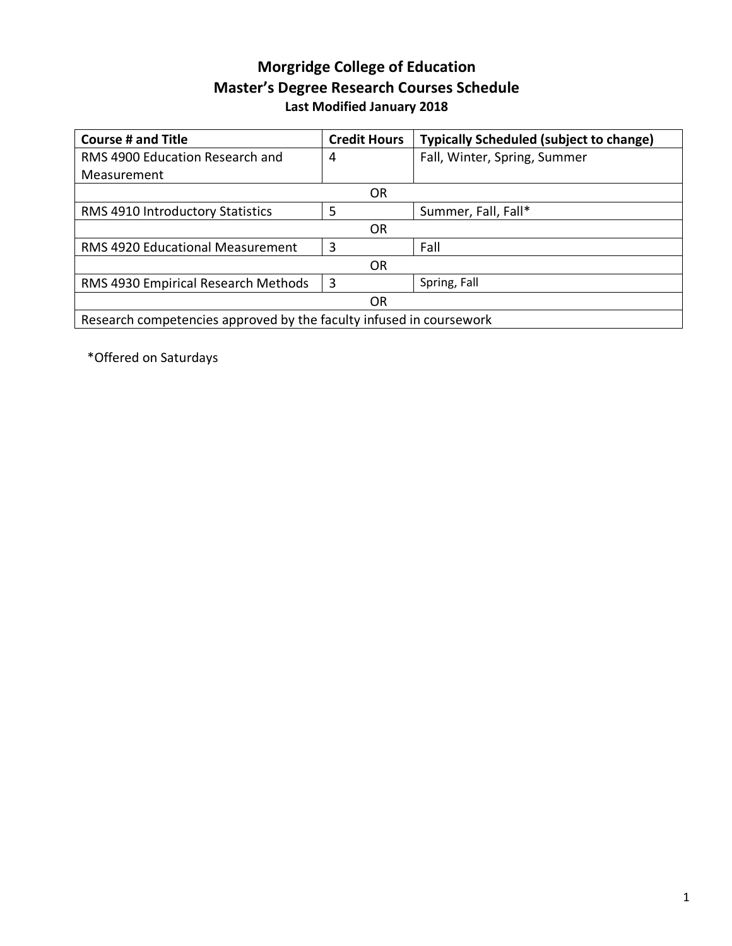## **Morgridge College of Education Master's Degree Research Courses Schedule Last Modified January 2018**

| <b>Course # and Title</b>                                           | <b>Credit Hours</b> | <b>Typically Scheduled (subject to change)</b> |  |  |
|---------------------------------------------------------------------|---------------------|------------------------------------------------|--|--|
| RMS 4900 Education Research and                                     | 4                   | Fall, Winter, Spring, Summer                   |  |  |
| Measurement                                                         |                     |                                                |  |  |
| OR                                                                  |                     |                                                |  |  |
| RMS 4910 Introductory Statistics                                    | 5                   | Summer, Fall, Fall*                            |  |  |
| OR                                                                  |                     |                                                |  |  |
| RMS 4920 Educational Measurement                                    | 3                   | Fall                                           |  |  |
| 0R                                                                  |                     |                                                |  |  |
| RMS 4930 Empirical Research Methods                                 | 3                   | Spring, Fall                                   |  |  |
| OR                                                                  |                     |                                                |  |  |
| Research competencies approved by the faculty infused in coursework |                     |                                                |  |  |

\*Offered on Saturdays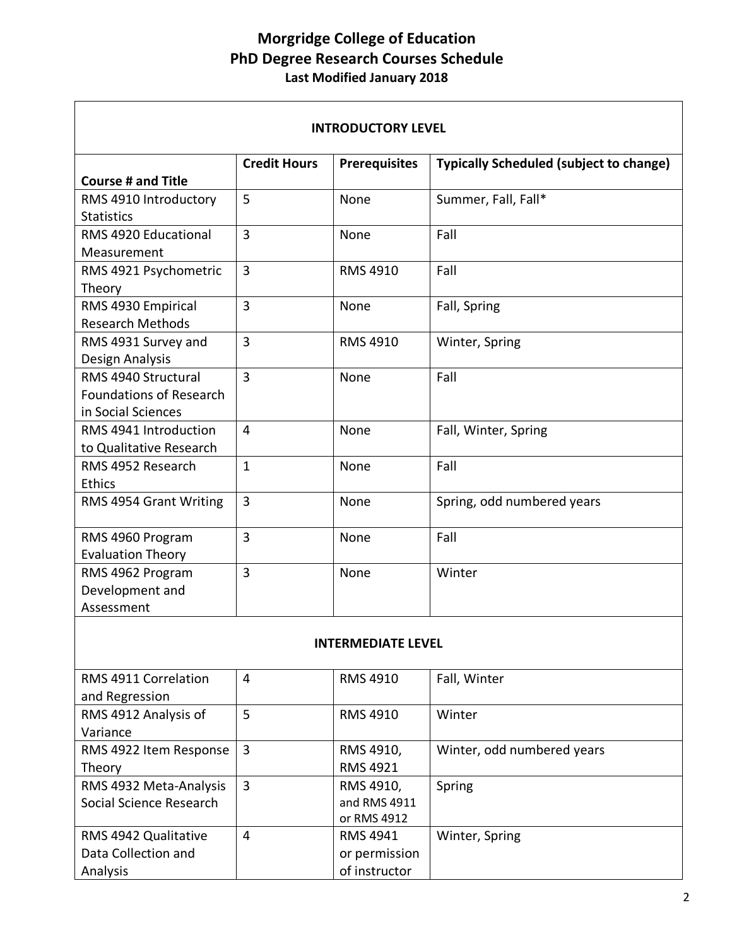## **Morgridge College of Education PhD Degree Research Courses Schedule Last Modified January 2018**

 $\mathbf{r}$ 

| <b>INTRODUCTORY LEVEL</b>                                                   |                     |                      |                                                |  |  |
|-----------------------------------------------------------------------------|---------------------|----------------------|------------------------------------------------|--|--|
|                                                                             | <b>Credit Hours</b> | <b>Prerequisites</b> | <b>Typically Scheduled (subject to change)</b> |  |  |
| <b>Course # and Title</b>                                                   |                     |                      |                                                |  |  |
| RMS 4910 Introductory<br><b>Statistics</b>                                  | 5                   | None                 | Summer, Fall, Fall*                            |  |  |
| RMS 4920 Educational<br>Measurement                                         | $\overline{3}$      | None                 | Fall                                           |  |  |
| RMS 4921 Psychometric<br>Theory                                             | 3                   | <b>RMS 4910</b>      | Fall                                           |  |  |
| RMS 4930 Empirical<br><b>Research Methods</b>                               | 3                   | None                 | Fall, Spring                                   |  |  |
| RMS 4931 Survey and<br>Design Analysis                                      | $\overline{3}$      | <b>RMS 4910</b>      | Winter, Spring                                 |  |  |
| RMS 4940 Structural<br><b>Foundations of Research</b><br>in Social Sciences | $\overline{3}$      | None                 | Fall                                           |  |  |
| RMS 4941 Introduction<br>to Qualitative Research                            | $\overline{4}$      | None                 | Fall, Winter, Spring                           |  |  |
| RMS 4952 Research<br>Ethics                                                 | $\mathbf{1}$        | None                 | Fall                                           |  |  |
| RMS 4954 Grant Writing                                                      | $\overline{3}$      | None                 | Spring, odd numbered years                     |  |  |
| RMS 4960 Program<br><b>Evaluation Theory</b>                                | 3                   | None                 | Fall                                           |  |  |
| RMS 4962 Program<br>Development and<br>Assessment                           | 3                   | None                 | Winter                                         |  |  |

## **INTERMEDIATE LEVEL**

| RMS 4911 Correlation    | 4 | <b>RMS 4910</b> | Fall, Winter               |
|-------------------------|---|-----------------|----------------------------|
| and Regression          |   |                 |                            |
| RMS 4912 Analysis of    | 5 | <b>RMS 4910</b> | Winter                     |
| Variance                |   |                 |                            |
| RMS 4922 Item Response  | 3 | RMS 4910,       | Winter, odd numbered years |
| Theory                  |   | <b>RMS 4921</b> |                            |
| RMS 4932 Meta-Analysis  | 3 | RMS 4910,       | Spring                     |
| Social Science Research |   | and RMS 4911    |                            |
|                         |   | or RMS 4912     |                            |
| RMS 4942 Qualitative    | 4 | <b>RMS 4941</b> | Winter, Spring             |
| Data Collection and     |   | or permission   |                            |
| Analysis                |   | of instructor   |                            |